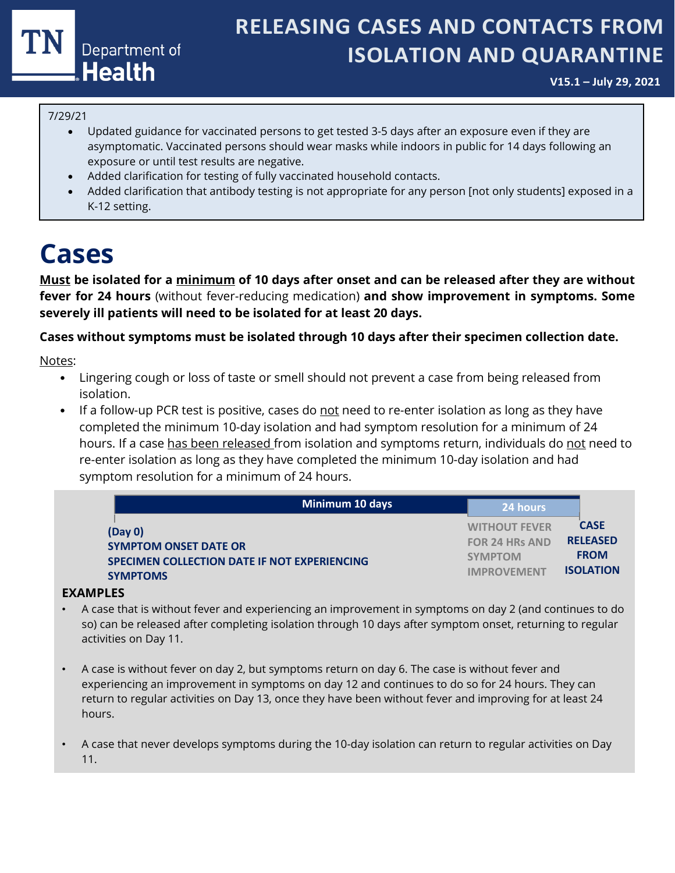

### **RELEASING CASES AND CONTACTS FROM ISOLATION AND QUARANTINE**

**V15.1 – July 29, 2021**

#### 7/29/21

- Updated guidance for vaccinated persons to get tested 3-5 days after an exposure even if they are asymptomatic. Vaccinated persons should wear masks while indoors in public for 14 days following an exposure or until test results are negative.
- Added clarification for testing of fully vaccinated household contacts.
- Added clarification that antibody testing is not appropriate for any person [not only students] exposed in a K-12 setting.

### **Cases**

**Must be isolated for a minimum of 10 days after onset and can be released after they are without fever for 24 hours** (without fever-reducing medication) **and show improvement in symptoms. Some severely ill patients will need to be isolated for at least 20 days.**

#### **Cases without symptoms must be isolated through 10 days after their specimen collection date.**

Notes:

- Lingering cough or loss of taste or smell should not prevent a case from being released from isolation.
- If a follow-up PCR test is positive, cases do not need to re-enter isolation as long as they have completed the minimum 10-day isolation and had symptom resolution for a minimum of 24 hours. If a case has been released from isolation and symptoms return, individuals do not need to re-enter isolation as long as they have completed the minimum 10-day isolation and had symptom resolution for a minimum of 24 hours.

| Minimum 10 days                              | 24 hours              |                  |
|----------------------------------------------|-----------------------|------------------|
| (Day 0)                                      | <b>WITHOUT FEVER</b>  | <b>CASE</b>      |
| <b>SYMPTOM ONSET DATE OR</b>                 | <b>FOR 24 HRs AND</b> | <b>RELEASED</b>  |
| SPECIMEN COLLECTION DATE IF NOT EXPERIENCING | <b>SYMPTOM</b>        | <b>FROM</b>      |
| <b>SYMPTOMS</b>                              | <b>IMPROVEMENT</b>    | <b>ISOLATION</b> |

#### **EXAMPLES**

- A case that is without fever and experiencing an improvement in symptoms on day 2 (and continues to do so) can be released after completing isolation through 10 days after symptom onset, returning to regular activities on Day 11.
- A case is without fever on day 2, but symptoms return on day 6. The case is without fever and experiencing an improvement in symptoms on day 12 and continues to do so for 24 hours. They can return to regular activities on Day 13, once they have been without fever and improving for at least 24 hours.
- A case that never develops symptoms during the 10-day isolation can return to regular activities on Day 11.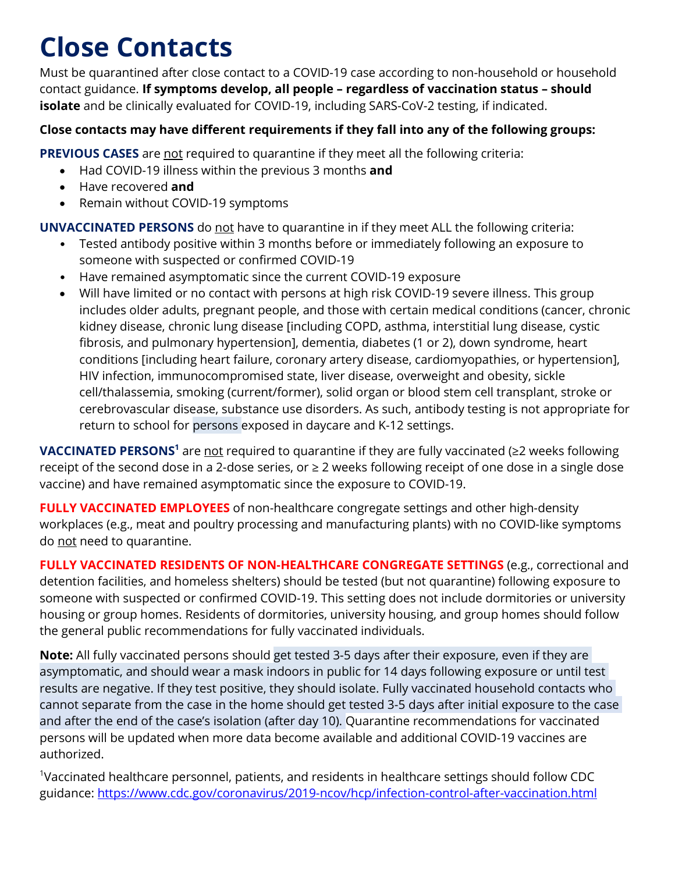## **Close Contacts**

Must be quarantined after close contact to a COVID-19 case according to non-household or household contact guidance. **If symptoms develop, all people – regardless of vaccination status – should isolate** and be clinically evaluated for COVID-19, including SARS-CoV-2 testing, if indicated.

### **Close contacts may have different requirements if they fall into any of the following groups:**

**PREVIOUS CASES** are not required to quarantine if they meet all the following criteria:

- Had COVID-19 illness within the previous 3 months **and**
- Have recovered **and**
- Remain without COVID-19 symptoms

**UNVACCINATED PERSONS** do not have to quarantine in if they meet ALL the following criteria:

- Tested antibody positive within 3 months before or immediately following an exposure to someone with suspected or confirmed COVID-19
- Have remained asymptomatic since the current COVID-19 exposure
- Will have limited or no contact with persons at high risk COVID-19 severe illness. This group includes older adults, pregnant people, and those with certain medical conditions (cancer, chronic kidney disease, chronic lung disease [including COPD, asthma, interstitial lung disease, cystic fibrosis, and pulmonary hypertension], dementia, diabetes (1 or 2), down syndrome, heart conditions [including heart failure, coronary artery disease, cardiomyopathies, or hypertension], HIV infection, immunocompromised state, liver disease, overweight and obesity, sickle cell/thalassemia, smoking (current/former), solid organ or blood stem cell transplant, stroke or cerebrovascular disease, substance use disorders. As such, antibody testing is not appropriate for return to school for persons exposed in daycare and K-12 settings.

**VACCINATED PERSONS<sup>1</sup>** are not required to quarantine if they are fully vaccinated (≥2 weeks following receipt of the second dose in a 2-dose series, or ≥ 2 weeks following receipt of one dose in a single dose vaccine) and have remained asymptomatic since the exposure to COVID-19.

**FULLY VACCINATED EMPLOYEES** of non-healthcare congregate settings and other high-density workplaces (e.g., meat and poultry processing and manufacturing plants) with no COVID-like symptoms do not need to quarantine.

**FULLY VACCINATED RESIDENTS OF NON-HEALTHCARE CONGREGATE SETTINGS** (e.g., correctional and detention facilities, and homeless shelters) should be tested (but not quarantine) following exposure to someone with suspected or confirmed COVID-19. This setting does not include dormitories or university housing or group homes. Residents of dormitories, university housing, and group homes should follow the general public recommendations for fully vaccinated individuals.

**Note:** All fully vaccinated persons should get tested 3-5 days after their exposure, even if they are asymptomatic, and should wear a mask indoors in public for 14 days following exposure or until test results are negative. If they test positive, they should isolate. Fully vaccinated household contacts who cannot separate from the case in the home should get tested 3-5 days after initial exposure to the case and after the end of the case's isolation (after day 10). Quarantine recommendations for vaccinated persons will be updated when more data become available and additional COVID-19 vaccines are authorized.

<sup>1</sup>Vaccinated healthcare personnel, patients, and residents in healthcare settings should follow CDC guidance: <https://www.cdc.gov/coronavirus/2019-ncov/hcp/infection-control-after-vaccination.html>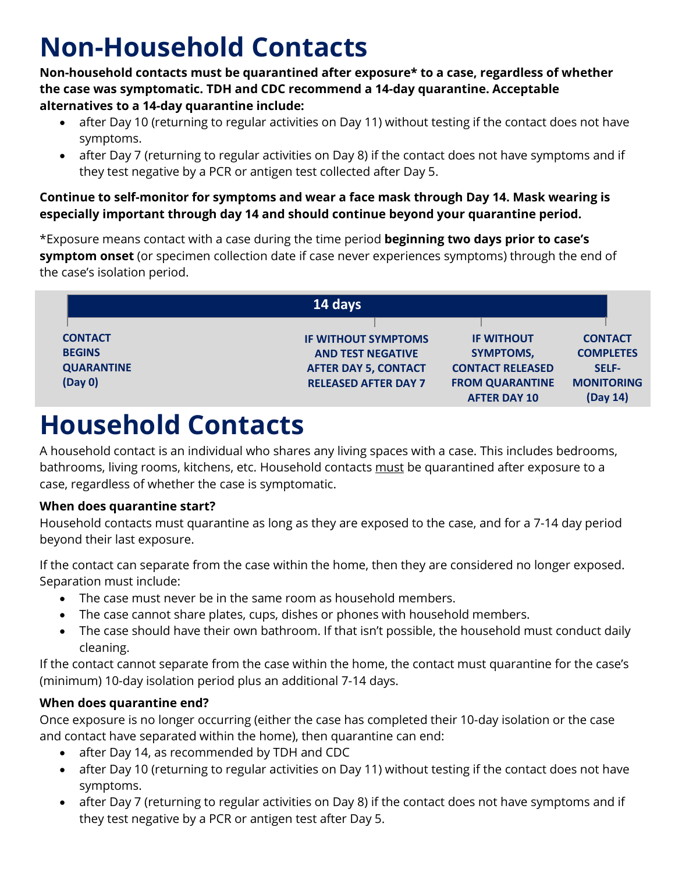# **Non-Household Contacts**

**Non-household contacts must be quarantined after exposure\* to a case, regardless of whether the case was symptomatic. TDH and CDC recommend a 14-day quarantine. Acceptable alternatives to a 14-day quarantine include:**

- after Day 10 (returning to regular activities on Day 11) without testing if the contact does not have symptoms.
- after Day 7 (returning to regular activities on Day 8) if the contact does not have symptoms and if they test negative by a PCR or antigen test collected after Day 5.

**Continue to self-monitor for symptoms and wear a face mask through Day 14. Mask wearing is especially important through day 14 and should continue beyond your quarantine period.**

\*Exposure means contact with a case during the time period **beginning two days prior to case's symptom onset** (or specimen collection date if case never experiences symptoms) through the end of the case's isolation period.

| 14 days           |                             |                                               |                               |  |  |
|-------------------|-----------------------------|-----------------------------------------------|-------------------------------|--|--|
|                   |                             |                                               |                               |  |  |
| <b>CONTACT</b>    | <b>IF WITHOUT SYMPTOMS</b>  | <b>IF WITHOUT</b>                             | <b>CONTACT</b>                |  |  |
| <b>BEGINS</b>     | <b>AND TEST NEGATIVE</b>    | <b>SYMPTOMS,</b>                              | <b>COMPLETES</b>              |  |  |
| <b>QUARANTINE</b> | <b>AFTER DAY 5, CONTACT</b> | <b>CONTACT RELEASED</b>                       | <b>SELF-</b>                  |  |  |
| (Day 0)           | <b>RELEASED AFTER DAY 7</b> | <b>FROM QUARANTINE</b><br><b>AFTER DAY 10</b> | <b>MONITORING</b><br>(Day 14) |  |  |

### **Household Contacts**

A household contact is an individual who shares any living spaces with a case. This includes bedrooms, bathrooms, living rooms, kitchens, etc. Household contacts must be quarantined after exposure to a case, regardless of whether the case is symptomatic.

### **When does quarantine start?**

Household contacts must quarantine as long as they are exposed to the case, and for a 7-14 day period beyond their last exposure.

If the contact can separate from the case within the home, then they are considered no longer exposed. Separation must include:

- The case must never be in the same room as household members.
- The case cannot share plates, cups, dishes or phones with household members.
- The case should have their own bathroom. If that isn't possible, the household must conduct daily cleaning.

If the contact cannot separate from the case within the home, the contact must quarantine for the case's (minimum) 10-day isolation period plus an additional 7-14 days.

### **When does quarantine end?**

Once exposure is no longer occurring (either the case has completed their 10-day isolation or the case and contact have separated within the home), then quarantine can end:

- after Day 14, as recommended by TDH and CDC
- after Day 10 (returning to regular activities on Day 11) without testing if the contact does not have symptoms.
- after Day 7 (returning to regular activities on Day 8) if the contact does not have symptoms and if they test negative by a PCR or antigen test after Day 5.